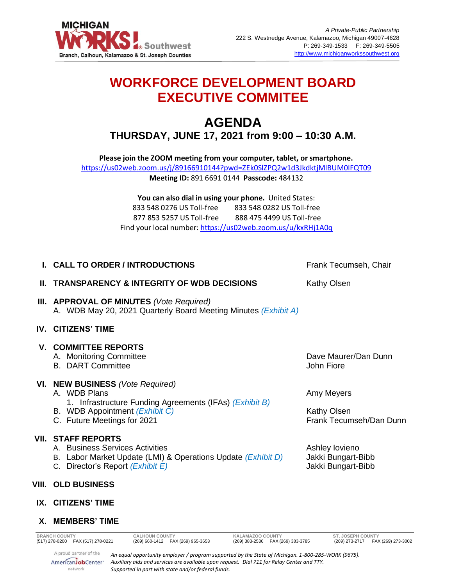

# **WORKFORCE DEVELOPMENT BOARD EXECUTIVE COMMITEE**

## **AGENDA THURSDAY, JUNE 17, 2021 from 9:00 – 10:30 A.M.**

**Please join the ZOOM meeting from your computer, tablet, or smartphone.**  <https://us02web.zoom.us/j/89166910144?pwd=ZEk0SlZPQ2w1d3JkdktjMlBUM0lFQT09>

**Meeting ID:** 891 6691 0144 **Passcode:** 484132

**You can also dial in using your phone.** United States: 833 548 0276 US Toll-free 833 548 0282 US Toll-free 877 853 5257 US Toll-free 888 475 4499 US Toll-free Find your local number:<https://us02web.zoom.us/u/kxRHj1A0q>

| I. CALL TO ORDER / INTRODUCTIONS                                                                                                                                             | Frank Tecumseh, Chair                                       |
|------------------------------------------------------------------------------------------------------------------------------------------------------------------------------|-------------------------------------------------------------|
| <b>II. TRANSPARENCY &amp; INTEGRITY OF WDB DECISIONS</b>                                                                                                                     | <b>Kathy Olsen</b>                                          |
| <b>III. APPROVAL OF MINUTES (Vote Required)</b><br>A. WDB May 20, 2021 Quarterly Board Meeting Minutes (Exhibit A)                                                           |                                                             |
| <b>IV. CITIZENS' TIME</b>                                                                                                                                                    |                                                             |
| <b>V. COMMITTEE REPORTS</b><br>A. Monitoring Committee<br><b>B. DART Committee</b>                                                                                           | Dave Maurer/Dan Dunn<br>John Fiore                          |
| VI. NEW BUSINESS (Vote Required)<br>A. WDB Plans<br>1. Infrastructure Funding Agreements (IFAs) (Exhibit B)<br>B. WDB Appointment (Exhibit C)<br>C. Future Meetings for 2021 | Amy Meyers<br><b>Kathy Olsen</b><br>Frank Tecumseh/Dan Dunn |
| <b>VII. STAFF REPORTS</b><br>A. Business Services Activities<br>B. Labor Market Update (LMI) & Operations Update (Exhibit D)<br>C. Director's Report (Exhibit E)             | Ashley lovieno<br>Jakki Bungart-Bibb<br>Jakki Bungart-Bibb  |
| VIII. OLD BUSINESS                                                                                                                                                           |                                                             |

### **IX. CITIZENS' TIME**

#### **X. MEMBERS' TIME**

**BRANCH COUNTY CALHOUN COUNTY KALAMAZOO COUNTY ST. JOSEPH COUNTY** A proud partner of the

*An equal opportunity employer / program supported by the State of Michigan. 1-800-285-WORK (9675). Auxiliary aids and services are available upon request. Dial 711 for Relay Center and TTY. Supported in part with state and/or federal funds.*